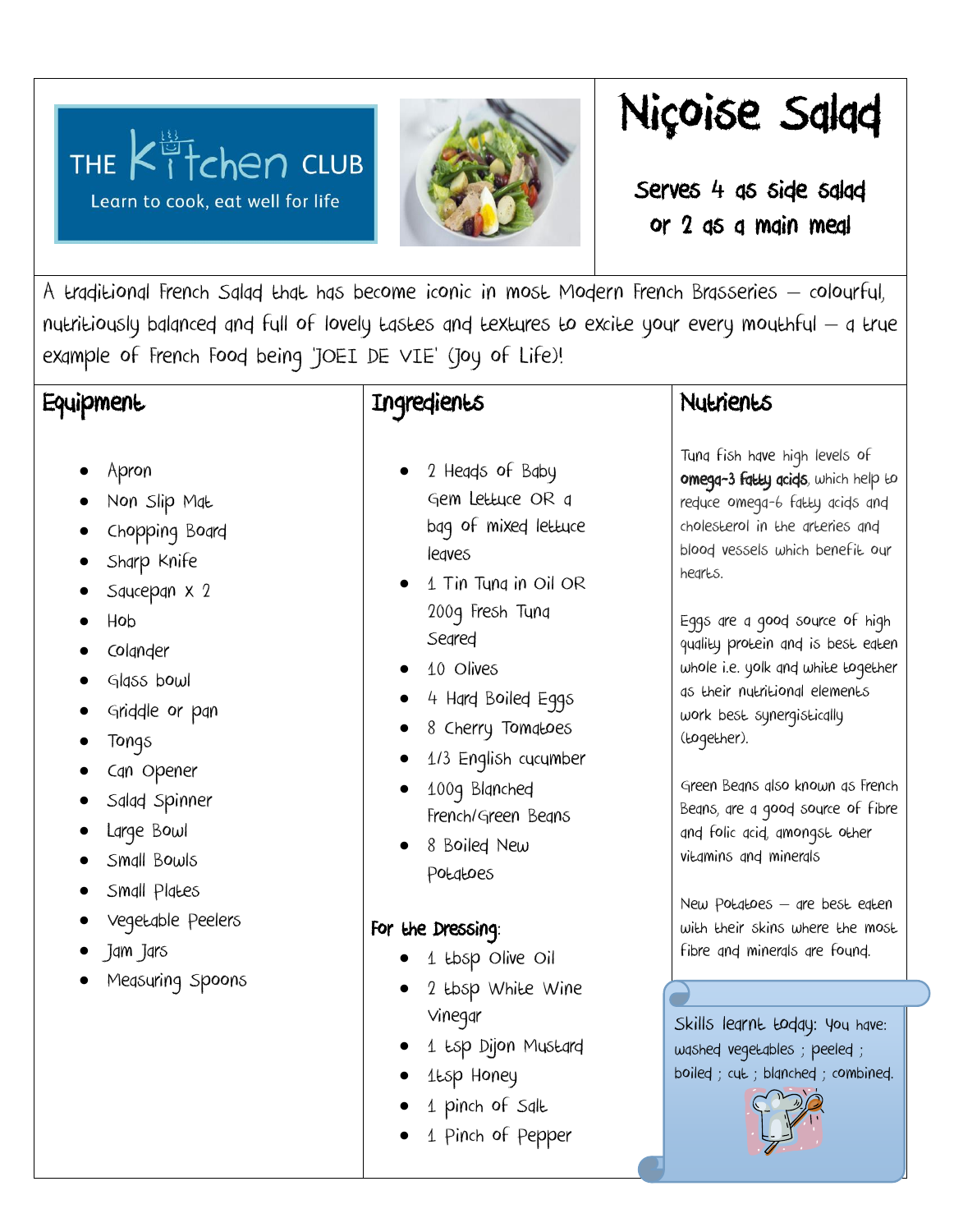# THE  $K^{\frac{13}{11}}$  club

Learn to cook, eat well for life



## Niçoise Salad

Serves 4 as side salad or 2 as a main meal

A traditional French Salad that has become iconic in most Modern French Brasseries – colourful, nutritiously balanced and full of lovely tastes and textures to excite your every mouthful – a true example of French Food being 'JOEI DE VIE' (Joy of Life)!

#### **Equipment**

- Apron
- Non Slip Mat
- Chopping Board
- Sharp Knife
- Squcepan x 2
- Hob
- Colander
- Glass bowl
- Griddle or pan
- Tongs
- Can Opener
- Salad Spinner
- Large Bowl
- Small Bowls
- Small Plates
- Vegetable Peelers
- Jam Jars
- Measuring Spoons

### Ingredients

- 2 Heads of Baby Gem Lettuce OR a bag of mixed lettuce leaves
- 1 Tin Tuna in Oil OR 200g Fresh Tuna Seared
- $\bullet$  10 Olives
- 4 Hard Boiled Eggs
- 8 Cherry Tomatoes
- 1/3 English cucumber
- 100g Blanched French/Green Beans
- 8 Boiled New Potatoes

#### For the Dressing:

- 1 tbsp Olive Oil
- 2 tbsp White Wine Vinegar
- 1 tsp Dijon Mustard
- 1tsp Honey
- 1 pinch of Salt
- 1 Pinch of Pepper

#### **Nutrients**

Tuna fish have high levels of omega-3 fatty acids, which help to reduce omega-6 fatty acids and cholesterol in the arteries and blood vessels which benefit our hearts.

Eggs are a good source of high quality protein and is best eaten whole i.e. yolk and white together as their nutritional elements work best synergistically (together).

Green Beans also known as French Beans, are a good source of fibre and folic acid, amongst other vitamins and minerals

New Potatoes – are best eaten with their skins where the most fibre and minerals are found.

Skills learnt today: you have: washed vegetables ; peeled ; boiled ; cut ; blanched ; combined.

 $\overline{\phantom{0}}$